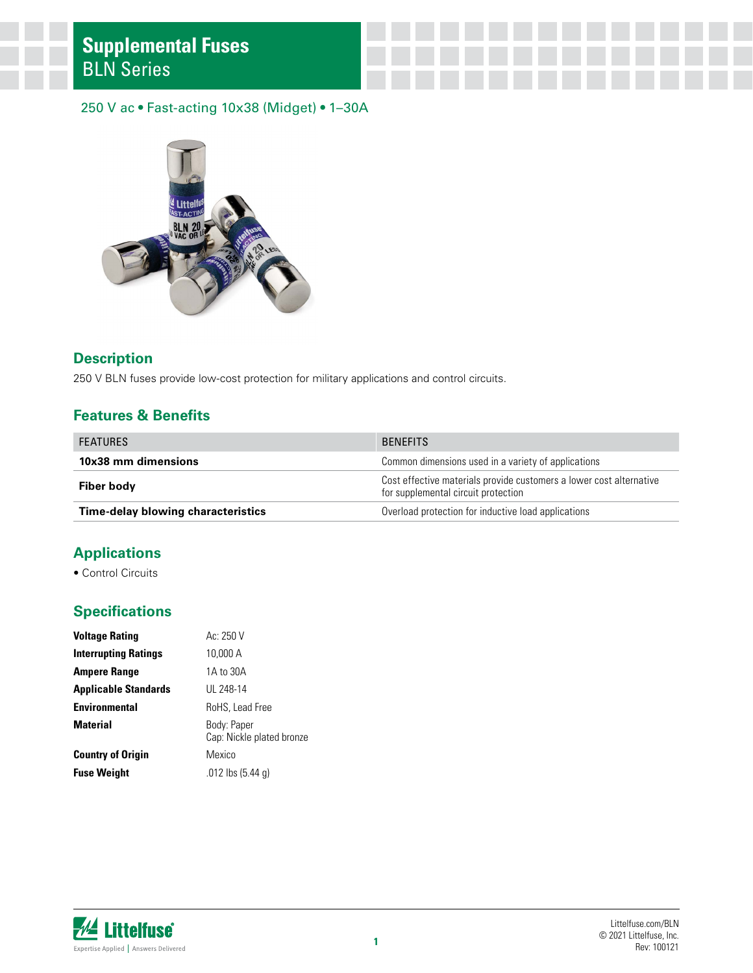#### 250 V ac • Fast-acting 10x38 (Midget) • 1–30A



#### **Description**

250 V BLN fuses provide low-cost protection for military applications and control circuits.

#### **Features & Benefits**

| <b>FEATURES</b>                           | <b>BENFFITS</b>                                                                                            |  |  |
|-------------------------------------------|------------------------------------------------------------------------------------------------------------|--|--|
| 10x38 mm dimensions                       | Common dimensions used in a variety of applications                                                        |  |  |
| Fiber body                                | Cost effective materials provide customers a lower cost alternative<br>for supplemental circuit protection |  |  |
| <b>Time-delay blowing characteristics</b> | Overload protection for inductive load applications                                                        |  |  |

# **Applications**

• Control Circuits

### **Specifications**

| <b>Voltage Rating</b>       | Ac: 250 V                                |
|-----------------------------|------------------------------------------|
| <b>Interrupting Ratings</b> | 10.000 A                                 |
| <b>Ampere Range</b>         | 1A to 30A                                |
| <b>Applicable Standards</b> | UL 248-14                                |
| <b>Environmental</b>        | RoHS, Lead Free                          |
| <b>Material</b>             | Body: Paper<br>Cap: Nickle plated bronze |
| <b>Country of Origin</b>    | Mexico                                   |
| <b>Fuse Weight</b>          | $.012$ lbs $(5.44$ q)                    |

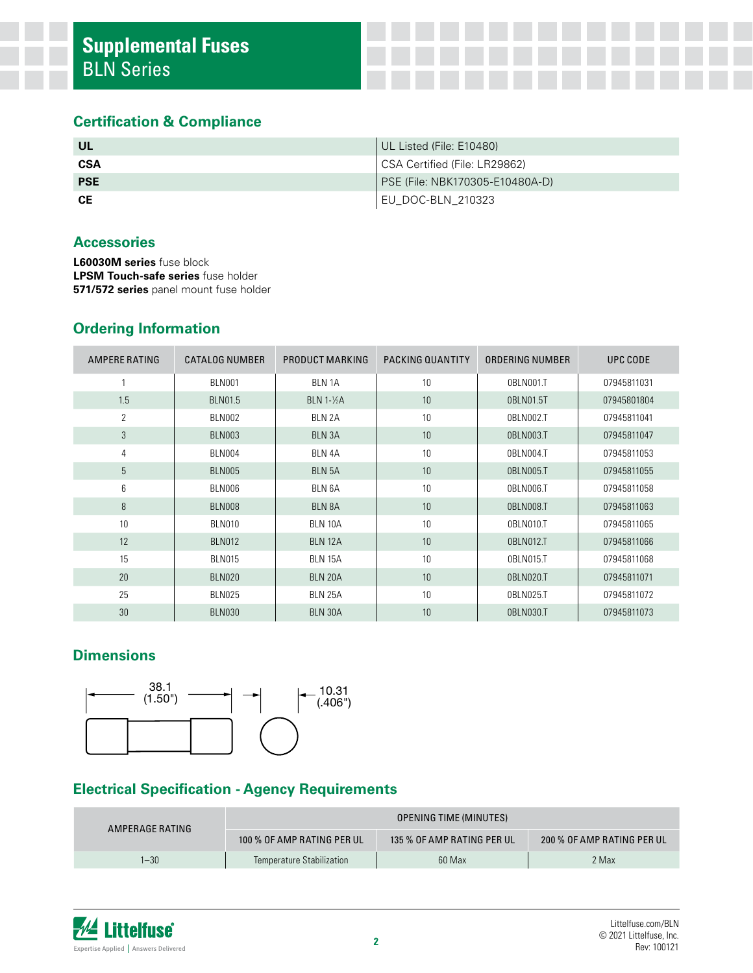#### **Certification & Compliance**

| -UL        | UL Listed (File: E10480)        |
|------------|---------------------------------|
| <b>CSA</b> | CSA Certified (File: LR29862)   |
| <b>PSE</b> | PSE (File: NBK170305-E10480A-D) |
| <b>CE</b>  | EU_DOC-BLN_210323               |

#### **Accessories**

**L60030M series** fuse block **LPSM Touch-safe series** fuse holder **571/572 series** panel mount fuse holder

# **Ordering Information**

| AMPERE RATING  | <b>CATALOG NUMBER</b> | PRODUCT MARKING   | PACKING QUANTITY | ORDERING NUMBER | UPC CODE    |
|----------------|-----------------------|-------------------|------------------|-----------------|-------------|
|                | <b>BLN001</b>         | <b>BLN 1A</b>     | 10               | 0BLN001.T       | 07945811031 |
| 1.5            | <b>BLN01.5</b>        | <b>BLN 1-1/2A</b> | 10               | 0BLN01.5T       | 07945801804 |
| $\overline{2}$ | <b>BLN002</b>         | BLN 2A            | 10               | 0BLN002.T       | 07945811041 |
| 3              | <b>BLN003</b>         | BLN 3A            | 10               | 0BLN003.T       | 07945811047 |
| 4              | BLN004                | BLN 4A            | 10               | 0BLN004.T       | 07945811053 |
| 5              | <b>BLN005</b>         | <b>BLN 5A</b>     | 10               | 0BLN005.T       | 07945811055 |
| 6              | <b>BLN006</b>         | BLN 6A            | 10               | OBLN006.T       | 07945811058 |
| 8              | BLN008                | BLN 8A            | 10               | 0BLN008.T       | 07945811063 |
| 10             | <b>BLN010</b>         | <b>BLN 10A</b>    | 10               | 0BLN010.T       | 07945811065 |
| 12             | <b>BLN012</b>         | <b>BLN 12A</b>    | 10               | 0BLN012.T       | 07945811066 |
| 15             | <b>BLN015</b>         | <b>BLN 15A</b>    | 10               | 0BLN015.T       | 07945811068 |
| 20             | <b>BLN020</b>         | BLN 20A           | 10               | 0BLN020.T       | 07945811071 |
| 25             | <b>BLN025</b>         | <b>BLN 25A</b>    | 10               | 0BLN025.T       | 07945811072 |
| 30             | <b>BLN030</b>         | BLN 30A           | 10               | 0BLN030.T       | 07945811073 |

# **Dimensions**



### **Electrical Specification - Agency Requirements**

| AMPERAGE RATING | <b>OPENING TIME (MINUTES)</b> |                            |                            |  |
|-----------------|-------------------------------|----------------------------|----------------------------|--|
|                 | 100 % OF AMP RATING PER UL    | 135 % OF AMP RATING PER UL | 200 % OF AMP RATING PER UL |  |
| $1 - 30$        | Temperature Stabilization     | 60 Max                     | 2 Max                      |  |

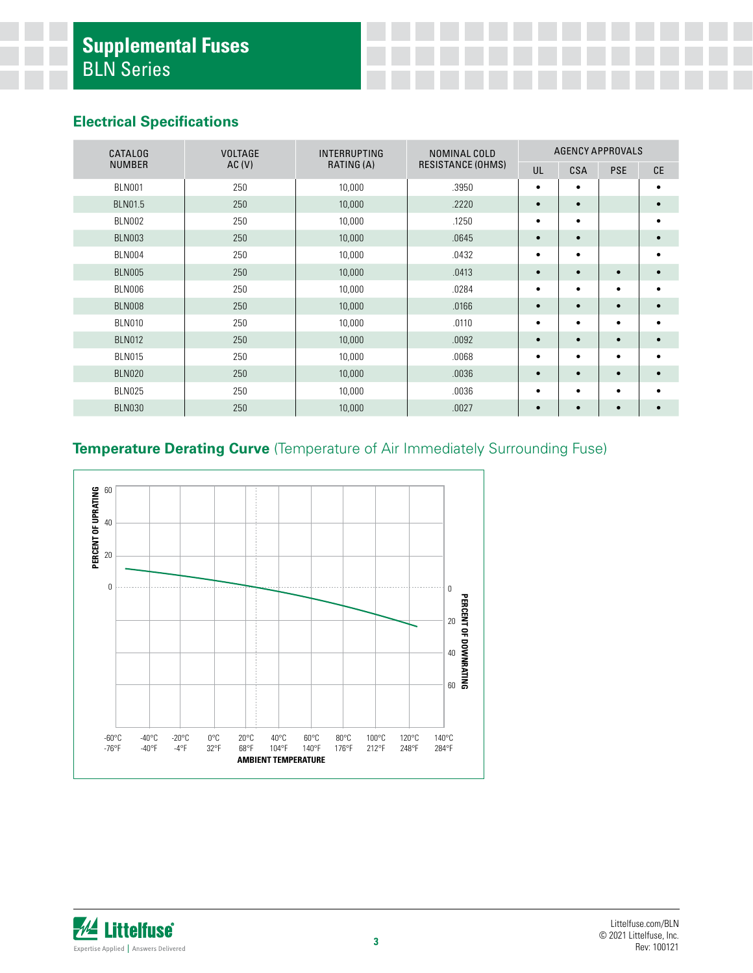### **Electrical Specifications**

| <b>CATALOG</b> | <b>VOLTAGE</b> | <b>INTERRUPTING</b><br>NOMINAL COLD | <b>AGENCY APPROVALS</b>  |           |            |            |           |
|----------------|----------------|-------------------------------------|--------------------------|-----------|------------|------------|-----------|
| <b>NUMBER</b>  | AC(V)          | RATING (A)                          | <b>RESISTANCE (OHMS)</b> | UL        | <b>CSA</b> | <b>PSE</b> | <b>CE</b> |
| <b>BLN001</b>  | 250            | 10,000                              | .3950                    | $\bullet$ | $\bullet$  |            | ٠         |
| <b>BLN01.5</b> | 250            | 10,000                              | .2220                    | $\bullet$ | $\bullet$  |            |           |
| <b>BLN002</b>  | 250            | 10,000                              | .1250                    | $\bullet$ | $\bullet$  |            | ٠         |
| <b>BLN003</b>  | 250            | 10,000                              | .0645                    | $\bullet$ | $\bullet$  |            |           |
| <b>BLN004</b>  | 250            | 10,000                              | .0432                    | $\bullet$ | $\bullet$  |            | ٠         |
| <b>BLN005</b>  | 250            | 10,000                              | .0413                    | $\bullet$ | $\bullet$  | $\bullet$  | $\bullet$ |
| BLN006         | 250            | 10,000                              | .0284                    | $\bullet$ | $\bullet$  | ٠          | ٠         |
| <b>BLN008</b>  | 250            | 10,000                              | .0166                    | $\bullet$ | $\bullet$  | $\bullet$  | $\bullet$ |
| <b>BLN010</b>  | 250            | 10,000                              | .0110                    | $\bullet$ | $\bullet$  | $\bullet$  | ٠         |
| <b>BLN012</b>  | 250            | 10,000                              | .0092                    | $\bullet$ | $\bullet$  | $\bullet$  | $\bullet$ |
| <b>BLN015</b>  | 250            | 10,000                              | .0068                    | $\bullet$ | $\bullet$  | ٠          |           |
| <b>BLN020</b>  | 250            | 10,000                              | .0036                    | $\bullet$ | $\bullet$  | $\bullet$  | $\bullet$ |
| <b>BLN025</b>  | 250            | 10,000                              | .0036                    | $\bullet$ | $\bullet$  | ٠          | ٠         |
| <b>BLN030</b>  | 250            | 10,000                              | .0027                    | $\bullet$ | $\bullet$  | $\bullet$  |           |

# **Temperature Derating Curve** (Temperature of Air Immediately Surrounding Fuse)